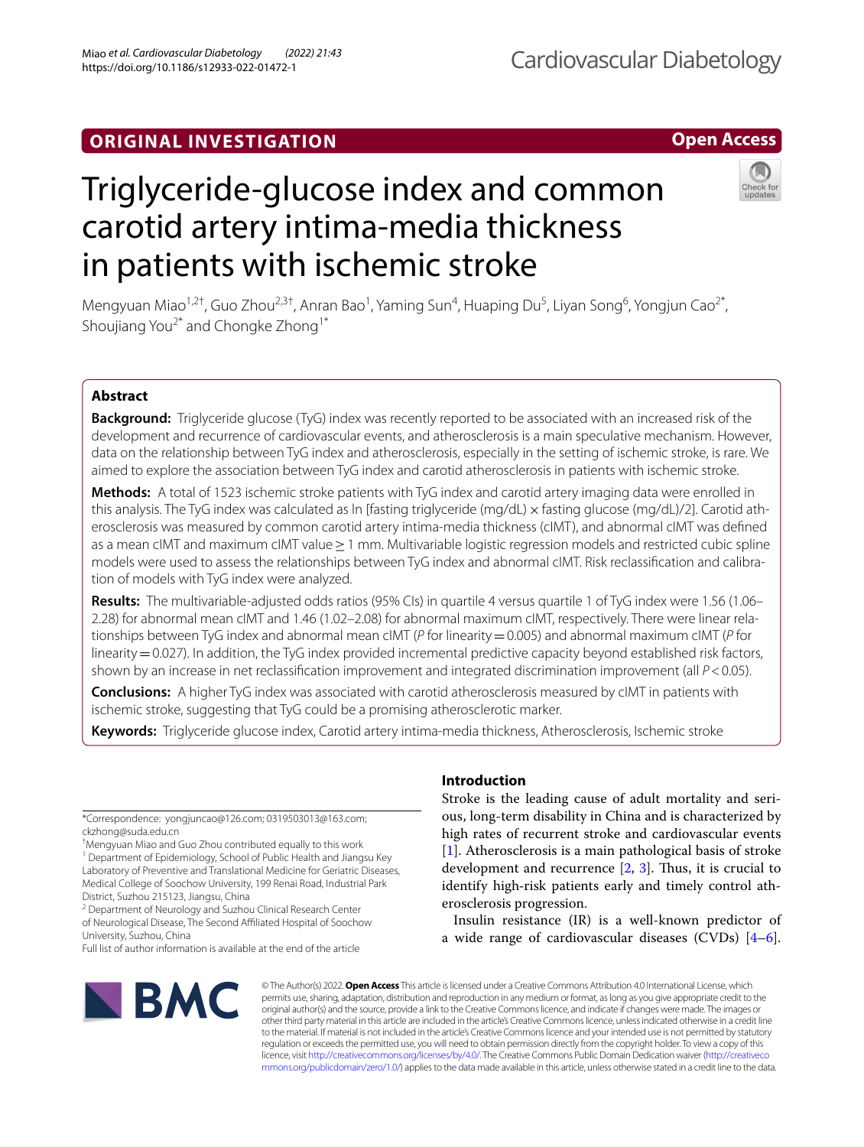# **ORIGINAL INVESTIGATION**

# **Open Access**



# Triglyceride-glucose index and common carotid artery intima-media thickness in patients with ischemic stroke

Mengyuan Miao<sup>1,2†</sup>, Guo Zhou<sup>2,3†</sup>, Anran Bao<sup>1</sup>, Yaming Sun<sup>4</sup>, Huaping Du<sup>5</sup>, Liyan Song<sup>6</sup>, Yongjun Cao<sup>2\*</sup>, Shoujiang You<sup>2\*</sup> and Chongke Zhong<sup>1\*</sup>

# **Abstract**

**Background:** Triglyceride glucose (TyG) index was recently reported to be associated with an increased risk of the development and recurrence of cardiovascular events, and atherosclerosis is a main speculative mechanism. However, data on the relationship between TyG index and atherosclerosis, especially in the setting of ischemic stroke, is rare. We aimed to explore the association between TyG index and carotid atherosclerosis in patients with ischemic stroke.

**Methods:** A total of 1523 ischemic stroke patients with TyG index and carotid artery imaging data were enrolled in this analysis. The TyG index was calculated as ln [fasting triglyceride (mg/dL) x fasting glucose (mg/dL)/2]. Carotid atherosclerosis was measured by common carotid artery intima-media thickness (cIMT), and abnormal cIMT was defned as a mean cIMT and maximum cIMT value≥1 mm. Multivariable logistic regression models and restricted cubic spline models were used to assess the relationships between TyG index and abnormal cIMT. Risk reclassifcation and calibration of models with TyG index were analyzed.

**Results:** The multivariable-adjusted odds ratios (95% CIs) in quartile 4 versus quartile 1 of TyG index were 1.56 (1.06– 2.28) for abnormal mean cIMT and 1.46 (1.02–2.08) for abnormal maximum cIMT, respectively. There were linear relationships between TyG index and abnormal mean cIMT (*P* for linearity=0.005) and abnormal maximum cIMT (*P* for  $\frac{1}{2}$  linearity = 0.027). In addition, the TyG index provided incremental predictive capacity beyond established risk factors, shown by an increase in net reclassifcation improvement and integrated discrimination improvement (all *P*<0.05).

**Conclusions:** A higher TyG index was associated with carotid atherosclerosis measured by cIMT in patients with ischemic stroke, suggesting that TyG could be a promising atherosclerotic marker.

**Keywords:** Triglyceride glucose index, Carotid artery intima-media thickness, Atherosclerosis, Ischemic stroke

\*Correspondence: yongjuncao@126.com; 0319503013@163.com; ckzhong@suda.edu.cn

† Mengyuan Miao and Guo Zhou contributed equally to this work

<sup>1</sup> Department of Epidemiology, School of Public Health and Jiangsu Key Laboratory of Preventive and Translational Medicine for Geriatric Diseases, Medical College of Soochow University, 199 Renai Road, Industrial Park District, Suzhou 215123, Jiangsu, China

<sup>2</sup> Department of Neurology and Suzhou Clinical Research Center of Neurological Disease, The Second Afliated Hospital of Soochow University, Suzhou, China

Full list of author information is available at the end of the article

# **BMC**

# **Introduction**

Stroke is the leading cause of adult mortality and serious, long-term disability in China and is characterized by high rates of recurrent stroke and cardiovascular events [[1\]](#page-8-0). Atherosclerosis is a main pathological basis of stroke development and recurrence  $[2, 3]$  $[2, 3]$  $[2, 3]$ . Thus, it is crucial to identify high‐risk patients early and timely control atherosclerosis progression.

Insulin resistance (IR) is a well-known predictor of a wide range of cardiovascular diseases (CVDs) [\[4](#page-8-3)[–6](#page-8-4)].

© The Author(s) 2022. **Open Access** This article is licensed under a Creative Commons Attribution 4.0 International License, which permits use, sharing, adaptation, distribution and reproduction in any medium or format, as long as you give appropriate credit to the original author(s) and the source, provide a link to the Creative Commons licence, and indicate if changes were made. The images or other third party material in this article are included in the article's Creative Commons licence, unless indicated otherwise in a credit line to the material. If material is not included in the article's Creative Commons licence and your intended use is not permitted by statutory regulation or exceeds the permitted use, you will need to obtain permission directly from the copyright holder. To view a copy of this licence, visit [http://creativecommons.org/licenses/by/4.0/.](http://creativecommons.org/licenses/by/4.0/) The Creative Commons Public Domain Dedication waiver ([http://creativeco](http://creativecommons.org/publicdomain/zero/1.0/) [mmons.org/publicdomain/zero/1.0/](http://creativecommons.org/publicdomain/zero/1.0/)) applies to the data made available in this article, unless otherwise stated in a credit line to the data.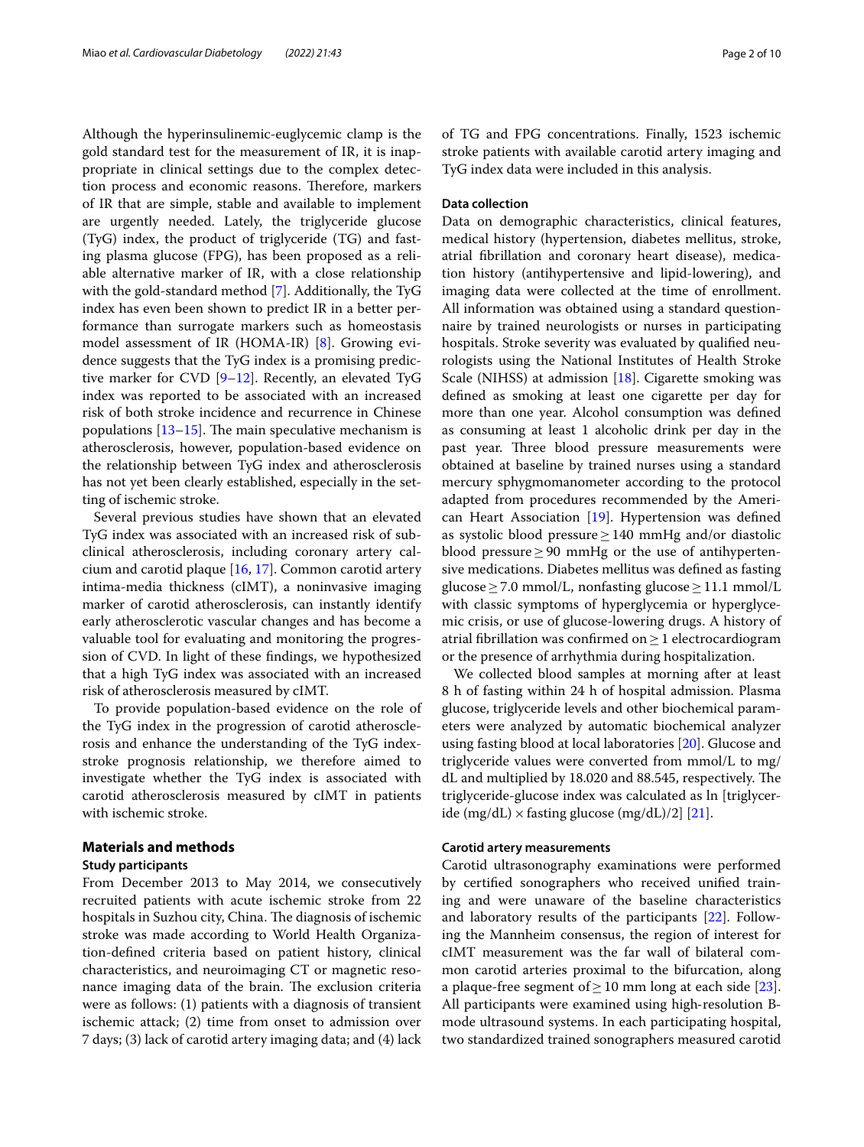Although the hyperinsulinemic-euglycemic clamp is the gold standard test for the measurement of IR, it is inappropriate in clinical settings due to the complex detection process and economic reasons. Therefore, markers of IR that are simple, stable and available to implement are urgently needed. Lately, the triglyceride glucose (TyG) index, the product of triglyceride (TG) and fasting plasma glucose (FPG), has been proposed as a reliable alternative marker of IR, with a close relationship with the gold-standard method [[7\]](#page-8-5). Additionally, the TyG index has even been shown to predict IR in a better performance than surrogate markers such as homeostasis model assessment of IR (HOMA-IR) [\[8](#page-8-6)]. Growing evidence suggests that the TyG index is a promising predictive marker for CVD [[9–](#page-8-7)[12\]](#page-8-8). Recently, an elevated TyG index was reported to be associated with an increased risk of both stroke incidence and recurrence in Chinese populations  $[13-15]$  $[13-15]$ . The main speculative mechanism is atherosclerosis, however, population-based evidence on the relationship between TyG index and atherosclerosis has not yet been clearly established, especially in the setting of ischemic stroke.

Several previous studies have shown that an elevated TyG index was associated with an increased risk of subclinical atherosclerosis, including coronary artery calcium and carotid plaque [\[16](#page-8-11), [17\]](#page-8-12). Common carotid artery intima-media thickness (cIMT), a noninvasive imaging marker of carotid atherosclerosis, can instantly identify early atherosclerotic vascular changes and has become a valuable tool for evaluating and monitoring the progression of CVD. In light of these fndings, we hypothesized that a high TyG index was associated with an increased risk of atherosclerosis measured by cIMT.

To provide population-based evidence on the role of the TyG index in the progression of carotid atherosclerosis and enhance the understanding of the TyG indexstroke prognosis relationship, we therefore aimed to investigate whether the TyG index is associated with carotid atherosclerosis measured by cIMT in patients with ischemic stroke.

# **Materials and methods**

# **Study participants**

From December 2013 to May 2014, we consecutively recruited patients with acute ischemic stroke from 22 hospitals in Suzhou city, China. The diagnosis of ischemic stroke was made according to World Health Organization-defned criteria based on patient history, clinical characteristics, and neuroimaging CT or magnetic resonance imaging data of the brain. The exclusion criteria were as follows: (1) patients with a diagnosis of transient ischemic attack; (2) time from onset to admission over 7 days; (3) lack of carotid artery imaging data; and (4) lack of TG and FPG concentrations. Finally, 1523 ischemic stroke patients with available carotid artery imaging and TyG index data were included in this analysis.

# **Data collection**

Data on demographic characteristics, clinical features, medical history (hypertension, diabetes mellitus, stroke, atrial fbrillation and coronary heart disease), medication history (antihypertensive and lipid-lowering), and imaging data were collected at the time of enrollment. All information was obtained using a standard questionnaire by trained neurologists or nurses in participating hospitals. Stroke severity was evaluated by qualifed neurologists using the National Institutes of Health Stroke Scale (NIHSS) at admission [[18\]](#page-8-13). Cigarette smoking was defned as smoking at least one cigarette per day for more than one year. Alcohol consumption was defned as consuming at least 1 alcoholic drink per day in the past year. Three blood pressure measurements were obtained at baseline by trained nurses using a standard mercury sphygmomanometer according to the protocol adapted from procedures recommended by the American Heart Association [[19\]](#page-8-14). Hypertension was defned as systolic blood pressure≥140 mmHg and/or diastolic blood pressure≥90 mmHg or the use of antihypertensive medications. Diabetes mellitus was defned as fasting glucose ≥ 7.0 mmol/L, nonfasting glucose ≥ 11.1 mmol/L with classic symptoms of hyperglycemia or hyperglycemic crisis, or use of glucose-lowering drugs. A history of atrial fbrillation was confrmed on≥1 electrocardiogram or the presence of arrhythmia during hospitalization.

We collected blood samples at morning after at least 8 h of fasting within 24 h of hospital admission. Plasma glucose, triglyceride levels and other biochemical parameters were analyzed by automatic biochemical analyzer using fasting blood at local laboratories [\[20](#page-8-15)]. Glucose and triglyceride values were converted from mmol/L to mg/ dL and multiplied by 18.020 and 88.545, respectively. The triglyceride-glucose index was calculated as ln [triglyceride (mg/dL)  $\times$  fasting glucose (mg/dL)/2] [[21\]](#page-8-16).

# **Carotid artery measurements**

Carotid ultrasonography examinations were performed by certifed sonographers who received unifed training and were unaware of the baseline characteristics and laboratory results of the participants [\[22\]](#page-8-17). Following the Mannheim consensus, the region of interest for cIMT measurement was the far wall of bilateral common carotid arteries proximal to the bifurcation, along a plaque-free segment of  $\geq$  10 mm long at each side [\[23](#page-8-18)]. All participants were examined using high‐resolution B‐ mode ultrasound systems. In each participating hospital, two standardized trained sonographers measured carotid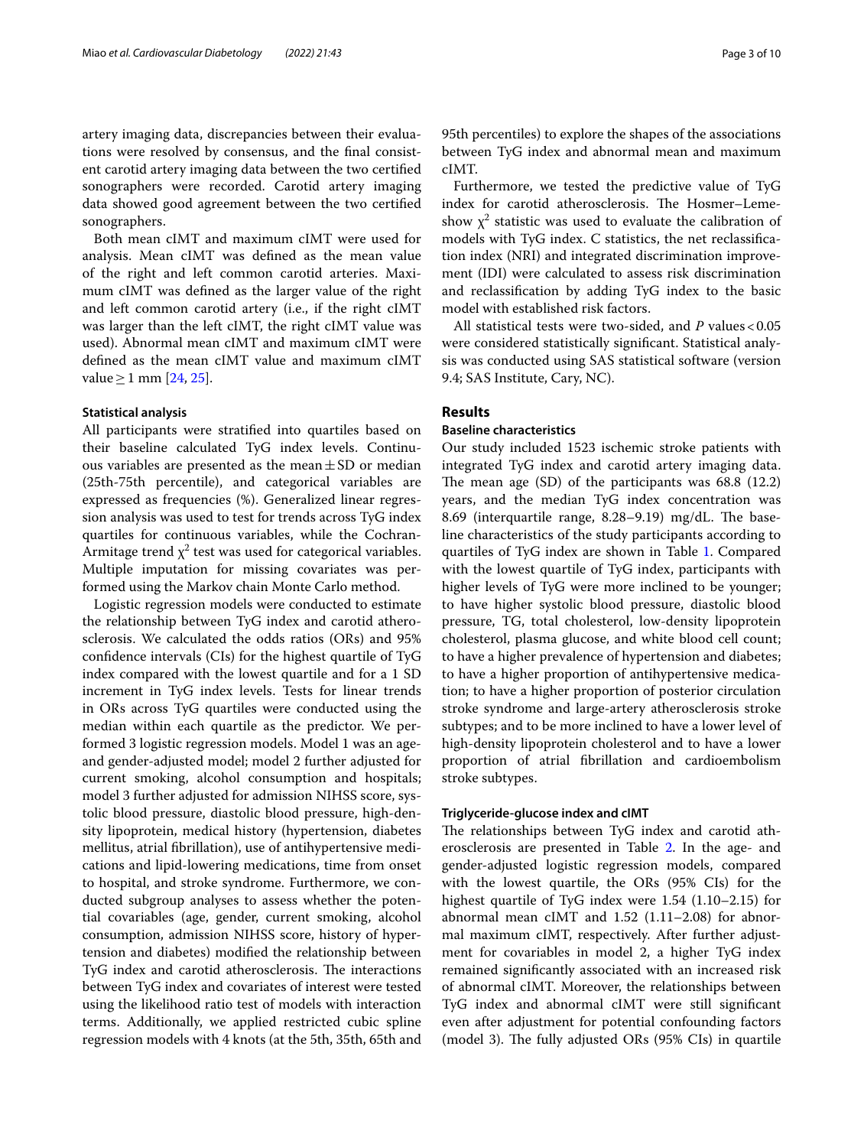artery imaging data, discrepancies between their evaluations were resolved by consensus, and the fnal consistent carotid artery imaging data between the two certifed sonographers were recorded. Carotid artery imaging data showed good agreement between the two certifed sonographers.

Both mean cIMT and maximum cIMT were used for analysis. Mean cIMT was defned as the mean value of the right and left common carotid arteries. Maximum cIMT was defned as the larger value of the right and left common carotid artery (i.e., if the right cIMT was larger than the left cIMT, the right cIMT value was used). Abnormal mean cIMT and maximum cIMT were defned as the mean cIMT value and maximum cIMT value ≥ 1 mm [\[24,](#page-8-19) [25](#page-8-20)].

# **Statistical analysis**

All participants were stratifed into quartiles based on their baseline calculated TyG index levels. Continuous variables are presented as the mean $\pm$ SD or median (25th-75th percentile), and categorical variables are expressed as frequencies (%). Generalized linear regression analysis was used to test for trends across TyG index quartiles for continuous variables, while the Cochran-Armitage trend  $\chi^2$  test was used for categorical variables. Multiple imputation for missing covariates was performed using the Markov chain Monte Carlo method.

Logistic regression models were conducted to estimate the relationship between TyG index and carotid atherosclerosis. We calculated the odds ratios (ORs) and 95% confdence intervals (CIs) for the highest quartile of TyG index compared with the lowest quartile and for a 1 SD increment in TyG index levels. Tests for linear trends in ORs across TyG quartiles were conducted using the median within each quartile as the predictor. We performed 3 logistic regression models. Model 1 was an ageand gender-adjusted model; model 2 further adjusted for current smoking, alcohol consumption and hospitals; model 3 further adjusted for admission NIHSS score, systolic blood pressure, diastolic blood pressure, high-density lipoprotein, medical history (hypertension, diabetes mellitus, atrial fbrillation), use of antihypertensive medications and lipid-lowering medications, time from onset to hospital, and stroke syndrome. Furthermore, we conducted subgroup analyses to assess whether the potential covariables (age, gender, current smoking, alcohol consumption, admission NIHSS score, history of hypertension and diabetes) modifed the relationship between TyG index and carotid atherosclerosis. The interactions between TyG index and covariates of interest were tested using the likelihood ratio test of models with interaction terms. Additionally, we applied restricted cubic spline regression models with 4 knots (at the 5th, 35th, 65th and 95th percentiles) to explore the shapes of the associations between TyG index and abnormal mean and maximum cIMT.

Furthermore, we tested the predictive value of TyG index for carotid atherosclerosis. The Hosmer-Lemeshow  $\chi^2$  statistic was used to evaluate the calibration of models with TyG index. C statistics, the net reclassifcation index (NRI) and integrated discrimination improvement (IDI) were calculated to assess risk discrimination and reclassifcation by adding TyG index to the basic model with established risk factors.

All statistical tests were two-sided, and *P* values < 0.05 were considered statistically signifcant. Statistical analysis was conducted using SAS statistical software (version 9.4; SAS Institute, Cary, NC).

# **Results**

# **Baseline characteristics**

Our study included 1523 ischemic stroke patients with integrated TyG index and carotid artery imaging data. The mean age  $(SD)$  of the participants was 68.8  $(12.2)$ years, and the median TyG index concentration was 8.69 (interquartile range, 8.28–9.19) mg/dL. The baseline characteristics of the study participants according to quartiles of TyG index are shown in Table [1.](#page-3-0) Compared with the lowest quartile of TyG index, participants with higher levels of TyG were more inclined to be younger; to have higher systolic blood pressure, diastolic blood pressure, TG, total cholesterol, low-density lipoprotein cholesterol, plasma glucose, and white blood cell count; to have a higher prevalence of hypertension and diabetes; to have a higher proportion of antihypertensive medication; to have a higher proportion of posterior circulation stroke syndrome and large-artery atherosclerosis stroke subtypes; and to be more inclined to have a lower level of high-density lipoprotein cholesterol and to have a lower proportion of atrial fbrillation and cardioembolism stroke subtypes.

# **Triglyceride‑glucose index and cIMT**

The relationships between TyG index and carotid atherosclerosis are presented in Table [2.](#page-4-0) In the age- and gender-adjusted logistic regression models, compared with the lowest quartile, the ORs (95% CIs) for the highest quartile of TyG index were 1.54 (1.10–2.15) for abnormal mean cIMT and 1.52 (1.11–2.08) for abnormal maximum cIMT, respectively. After further adjustment for covariables in model 2, a higher TyG index remained signifcantly associated with an increased risk of abnormal cIMT. Moreover, the relationships between TyG index and abnormal cIMT were still signifcant even after adjustment for potential confounding factors (model 3). The fully adjusted ORs  $(95\% \text{ CIs})$  in quartile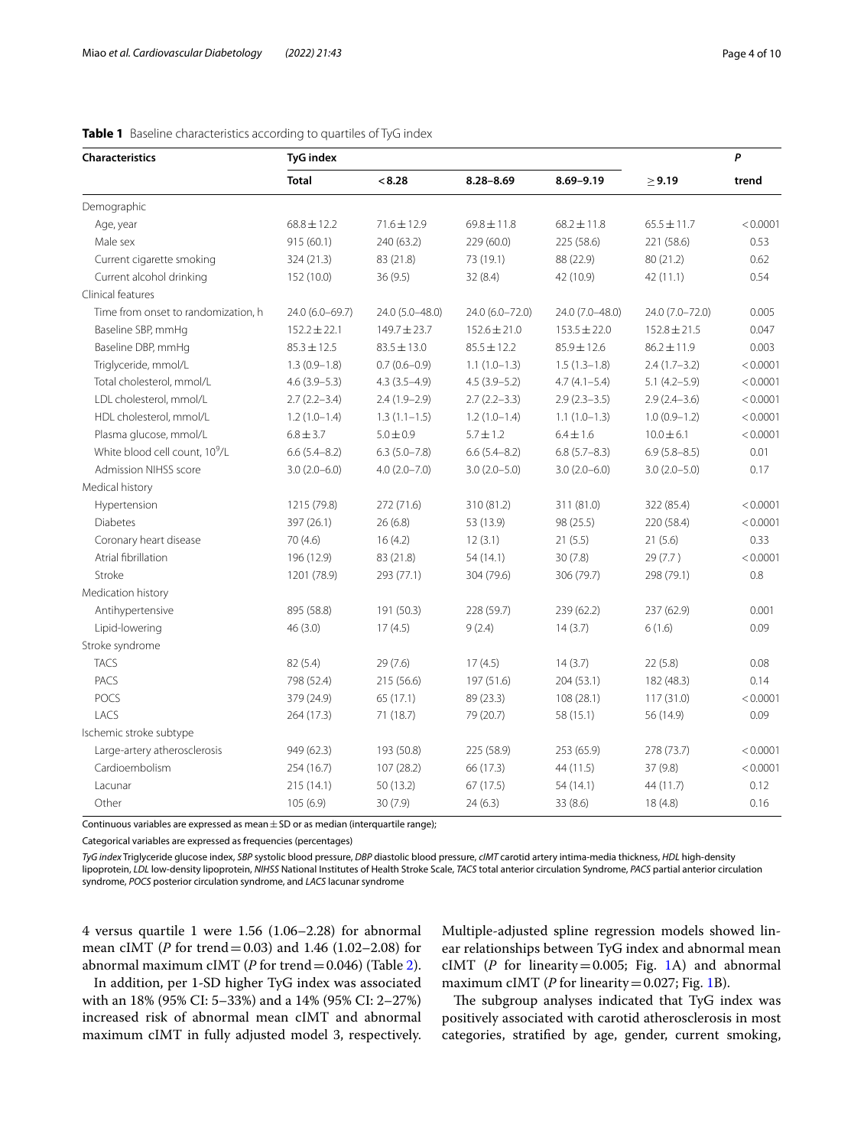| <b>Characteristics</b>                     | <b>TyG</b> index |                  |                  |                  |                  | P        |
|--------------------------------------------|------------------|------------------|------------------|------------------|------------------|----------|
|                                            | <b>Total</b>     | < 8.28           | $8.28 - 8.69$    | $8.69 - 9.19$    | > 9.19           | trend    |
| Demographic                                |                  |                  |                  |                  |                  |          |
| Age, year                                  | $68.8 \pm 12.2$  | $71.6 \pm 12.9$  | $69.8 \pm 11.8$  | $68.2 \pm 11.8$  | $65.5 \pm 11.7$  | < 0.0001 |
| Male sex                                   | 915 (60.1)       | 240 (63.2)       | 229 (60.0)       | 225 (58.6)       | 221 (58.6)       | 0.53     |
| Current cigarette smoking                  | 324 (21.3)       | 83 (21.8)        | 73 (19.1)        | 88 (22.9)        | 80 (21.2)        | 0.62     |
| Current alcohol drinking                   | 152 (10.0)       | 36(9.5)          | 32(8.4)          | 42 (10.9)        | 42 (11.1)        | 0.54     |
| Clinical features                          |                  |                  |                  |                  |                  |          |
| Time from onset to randomization. h        | 24.0 (6.0-69.7)  | 24.0 (5.0-48.0)  | 24.0 (6.0-72.0)  | 24.0 (7.0-48.0)  | 24.0 (7.0-72.0)  | 0.005    |
| Baseline SBP, mmHg                         | $152.2 \pm 22.1$ | $149.7 \pm 23.7$ | $152.6 \pm 21.0$ | $153.5 \pm 22.0$ | $152.8 \pm 21.5$ | 0.047    |
| Baseline DBP, mmHg                         | $85.3 \pm 12.5$  | $83.5 \pm 13.0$  | $85.5 \pm 12.2$  | $85.9 \pm 12.6$  | $86.2 \pm 11.9$  | 0.003    |
| Triglyceride, mmol/L                       | $1.3(0.9-1.8)$   | $0.7(0.6 - 0.9)$ | $1.1(1.0-1.3)$   | $1.5(1.3-1.8)$   | $2.4(1.7-3.2)$   | < 0.0001 |
| Total cholesterol, mmol/L                  | $4.6(3.9-5.3)$   | $4.3(3.5-4.9)$   | $4.5(3.9-5.2)$   | $4.7(4.1 - 5.4)$ | $5.1(4.2 - 5.9)$ | < 0.0001 |
| LDL cholesterol, mmol/L                    | $2.7(2.2 - 3.4)$ | $2.4(1.9-2.9)$   | $2.7(2.2-3.3)$   | $2.9(2.3-3.5)$   | $2.9(2.4-3.6)$   | < 0.0001 |
| HDL cholesterol, mmol/L                    | $1.2(1.0-1.4)$   | $1.3(1.1-1.5)$   | $1.2(1.0-1.4)$   | $1.1(1.0-1.3)$   | $1.0(0.9-1.2)$   | < 0.0001 |
| Plasma glucose, mmol/L                     | $6.8 \pm 3.7$    | $5.0 \pm 0.9$    | $5.7 \pm 1.2$    | $6.4 \pm 1.6$    | $10.0 \pm 6.1$   | < 0.0001 |
| White blood cell count, 10 <sup>9</sup> /L | $6.6(5.4 - 8.2)$ | $6.3(5.0 - 7.8)$ | $6.6(5.4 - 8.2)$ | $6.8(5.7 - 8.3)$ | $6.9(5.8 - 8.5)$ | 0.01     |
| Admission NIHSS score                      | $3.0(2.0 - 6.0)$ | $4.0(2.0 - 7.0)$ | $3.0(2.0-5.0)$   | $3.0(2.0-6.0)$   | $3.0(2.0-5.0)$   | 0.17     |
| Medical history                            |                  |                  |                  |                  |                  |          |
| Hypertension                               | 1215 (79.8)      | 272 (71.6)       | 310 (81.2)       | 311 (81.0)       | 322 (85.4)       | < 0.0001 |
| Diabetes                                   | 397 (26.1)       | 26(6.8)          | 53 (13.9)        | 98 (25.5)        | 220 (58.4)       | < 0.0001 |
| Coronary heart disease                     | 70 (4.6)         | 16(4.2)          | 12(3.1)          | 21(5.5)          | 21(5.6)          | 0.33     |
| Atrial fibrillation                        | 196 (12.9)       | 83 (21.8)        | 54 (14.1)        | 30(7.8)          | 29 (7.7)         | < 0.0001 |
| Stroke                                     | 1201 (78.9)      | 293 (77.1)       | 304 (79.6)       | 306 (79.7)       | 298 (79.1)       | 0.8      |
| Medication history                         |                  |                  |                  |                  |                  |          |
| Antihypertensive                           | 895 (58.8)       | 191 (50.3)       | 228 (59.7)       | 239 (62.2)       | 237 (62.9)       | 0.001    |
| Lipid-lowering                             | 46 (3.0)         | 17(4.5)          | 9(2.4)           | 14(3.7)          | 6(1.6)           | 0.09     |
| Stroke syndrome                            |                  |                  |                  |                  |                  |          |
| <b>TACS</b>                                | 82 (5.4)         | 29(7.6)          | 17(4.5)          | 14(3.7)          | 22(5.8)          | 0.08     |
| PACS                                       | 798 (52.4)       | 215 (56.6)       | 197 (51.6)       | 204 (53.1)       | 182 (48.3)       | 0.14     |
| POCS                                       | 379 (24.9)       | 65 (17.1)        | 89 (23.3)        | 108 (28.1)       | 117(31.0)        | < 0.0001 |
| LACS                                       | 264 (17.3)       | 71 (18.7)        | 79 (20.7)        | 58 (15.1)        | 56 (14.9)        | 0.09     |
| Ischemic stroke subtype                    |                  |                  |                  |                  |                  |          |
| Large-artery atherosclerosis               | 949 (62.3)       | 193 (50.8)       | 225 (58.9)       | 253 (65.9)       | 278 (73.7)       | < 0.0001 |
| Cardioembolism                             | 254 (16.7)       | 107(28.2)        | 66 (17.3)        | 44 (11.5)        | 37 (9.8)         | < 0.0001 |
| Lacunar                                    | 215 (14.1)       | 50 (13.2)        | 67 (17.5)        | 54 (14.1)        | 44 (11.7)        | 0.12     |
| Other                                      | 105 (6.9)        | 30 (7.9)         | 24(6.3)          | 33 (8.6)         | 18(4.8)          | 0.16     |

# <span id="page-3-0"></span>**Table 1** Baseline characteristics according to quartiles of TyG index

Continuous variables are expressed as mean $\pm$ SD or as median (interquartile range);

Categorical variables are expressed as frequencies (percentages)

*TyG index* Triglyceride glucose index, *SBP* systolic blood pressure, *DBP* diastolic blood pressure, *cIMT* carotid artery intima-media thickness, *HDL* high-density lipoprotein, *LDL* low-density lipoprotein, *NIHSS* National Institutes of Health Stroke Scale, *TACS* total anterior circulation Syndrome, *PACS* partial anterior circulation syndrome, *POCS* posterior circulation syndrome, and *LACS* lacunar syndrome

4 versus quartile 1 were 1.56 (1.06–2.28) for abnormal mean cIMT (*P* for trend=0.03) and 1.46 (1.02–2.08) for abnormal maximum cIMT (*P* for trend=0.046) (Table [2](#page-4-0)).

In addition, per 1-SD higher TyG index was associated with an 18% (95% CI: 5–33%) and a 14% (95% CI: 2–27%) increased risk of abnormal mean cIMT and abnormal maximum cIMT in fully adjusted model 3, respectively. Multiple-adjusted spline regression models showed linear relationships between TyG index and abnormal mean cIMT ( $P$  for linearity=0.005; Fig. [1](#page-6-0)A) and abnormal maximum cIMT ( $P$  for linearity=0.027; Fig. [1](#page-6-0)B).

The subgroup analyses indicated that TyG index was positively associated with carotid atherosclerosis in most categories, stratifed by age, gender, current smoking,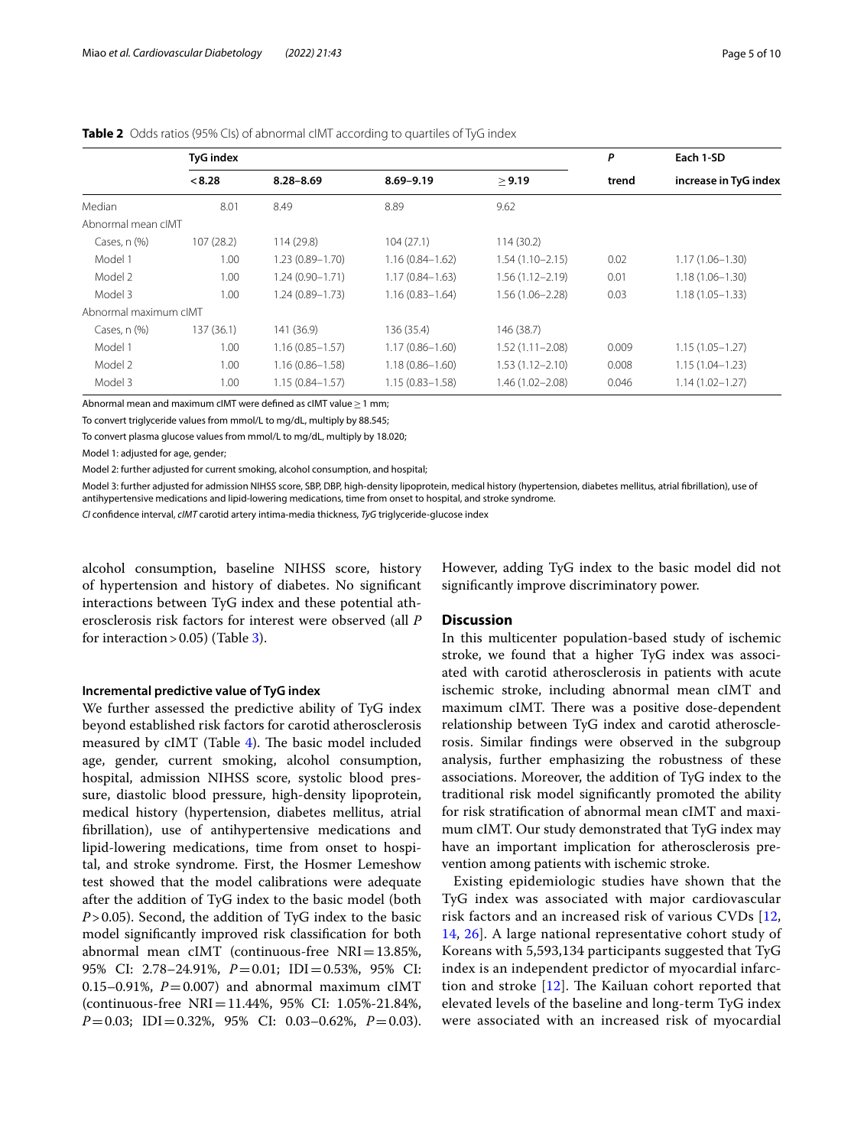|                       | <b>TyG</b> index |                     | P                   | Each 1-SD           |       |                       |
|-----------------------|------------------|---------------------|---------------------|---------------------|-------|-----------------------|
|                       | < 8.28           | $8.28 - 8.69$       | $8.69 - 9.19$       | > 9.19              | trend | increase in TyG index |
| Median                | 8.01             | 8.49                | 8.89                | 9.62                |       |                       |
| Abnormal mean cIMT    |                  |                     |                     |                     |       |                       |
| Cases, $n$ $(\%)$     | 107(28.2)        | 114(29.8)           | 104(27.1)           | 114(30.2)           |       |                       |
| Model 1               | 1.00             | $1.23(0.89 - 1.70)$ | $1.16(0.84 - 1.62)$ | $1.54(1.10 - 2.15)$ | 0.02  | $1.17(1.06 - 1.30)$   |
| Model 2               | 1.00             | $1.24(0.90 - 1.71)$ | $1.17(0.84 - 1.63)$ | $1.56(1.12 - 2.19)$ | 0.01  | $1.18(1.06 - 1.30)$   |
| Model 3               | 1.00             | $1.24(0.89 - 1.73)$ | $1.16(0.83 - 1.64)$ | 1.56 (1.06-2.28)    | 0.03  | $1.18(1.05 - 1.33)$   |
| Abnormal maximum cIMT |                  |                     |                     |                     |       |                       |
| Cases, $n$ $(\%)$     | 137 (36.1)       | 141 (36.9)          | 136 (35.4)          | 146 (38.7)          |       |                       |
| Model 1               | 1.00             | $1.16(0.85 - 1.57)$ | $1.17(0.86 - 1.60)$ | $1.52(1.11 - 2.08)$ | 0.009 | $1.15(1.05 - 1.27)$   |
| Model 2               | 1.00             | $1.16(0.86 - 1.58)$ | $1.18(0.86 - 1.60)$ | $1.53(1.12 - 2.10)$ | 0.008 | $1.15(1.04 - 1.23)$   |
| Model 3               | 1.00             | $1.15(0.84 - 1.57)$ | $1.15(0.83 - 1.58)$ | 1.46 (1.02-2.08)    | 0.046 | $1.14(1.02 - 1.27)$   |

# <span id="page-4-0"></span>**Table 2** Odds ratios (95% Cls) of abnormal cIMT according to quartiles of TyG index

Abnormal mean and maximum cIMT were defined as cIMT value  $\geq$  1 mm;

To convert triglyceride values from mmol/L to mg/dL, multiply by 88.545;

To convert plasma glucose values from mmol/L to mg/dL, multiply by 18.020;

Model 1: adjusted for age, gender;

Model 2: further adjusted for current smoking, alcohol consumption, and hospital;

Model 3: further adjusted for admission NIHSS score, SBP, DBP, high-density lipoprotein, medical history (hypertension, diabetes mellitus, atrial fbrillation), use of antihypertensive medications and lipid-lowering medications, time from onset to hospital, and stroke syndrome.

*CI* confdence interval, *cIMT* carotid artery intima-media thickness, *TyG* triglyceride-glucose index

alcohol consumption, baseline NIHSS score, history of hypertension and history of diabetes. No signifcant interactions between TyG index and these potential atherosclerosis risk factors for interest were observed (all *P* for interaction  $> 0.05$ ) (Table [3\)](#page-5-0).

# **Incremental predictive value of TyG index**

We further assessed the predictive ability of TyG index beyond established risk factors for carotid atherosclerosis measured by  $cIMT$  (Table [4](#page-6-1)). The basic model included age, gender, current smoking, alcohol consumption, hospital, admission NIHSS score, systolic blood pressure, diastolic blood pressure, high-density lipoprotein, medical history (hypertension, diabetes mellitus, atrial fbrillation), use of antihypertensive medications and lipid-lowering medications, time from onset to hospital, and stroke syndrome. First, the Hosmer Lemeshow test showed that the model calibrations were adequate after the addition of TyG index to the basic model (both *P*>0.05). Second, the addition of TyG index to the basic model signifcantly improved risk classifcation for both abnormal mean cIMT (continuous-free NRI=13.85%, 95% CI: 2.78–24.91%, *P*=0.01; IDI=0.53%, 95% CI: 0.15–0.91%,  $P=0.007$ ) and abnormal maximum cIMT (continuous-free NRI=11.44%, 95% CI: 1.05%-21.84%, *P*=0.03; IDI=0.32%, 95% CI: 0.03–0.62%, *P*=0.03).

However, adding TyG index to the basic model did not signifcantly improve discriminatory power.

# **Discussion**

In this multicenter population-based study of ischemic stroke, we found that a higher TyG index was associated with carotid atherosclerosis in patients with acute ischemic stroke, including abnormal mean cIMT and maximum cIMT. There was a positive dose-dependent relationship between TyG index and carotid atherosclerosis. Similar fndings were observed in the subgroup analysis, further emphasizing the robustness of these associations. Moreover, the addition of TyG index to the traditional risk model signifcantly promoted the ability for risk stratifcation of abnormal mean cIMT and maximum cIMT. Our study demonstrated that TyG index may have an important implication for atherosclerosis prevention among patients with ischemic stroke.

Existing epidemiologic studies have shown that the TyG index was associated with major cardiovascular risk factors and an increased risk of various CVDs [\[12](#page-8-8), [14,](#page-8-21) [26](#page-8-22)]. A large national representative cohort study of Koreans with 5,593,134 participants suggested that TyG index is an independent predictor of myocardial infarction and stroke  $[12]$  $[12]$ . The Kailuan cohort reported that elevated levels of the baseline and long-term TyG index were associated with an increased risk of myocardial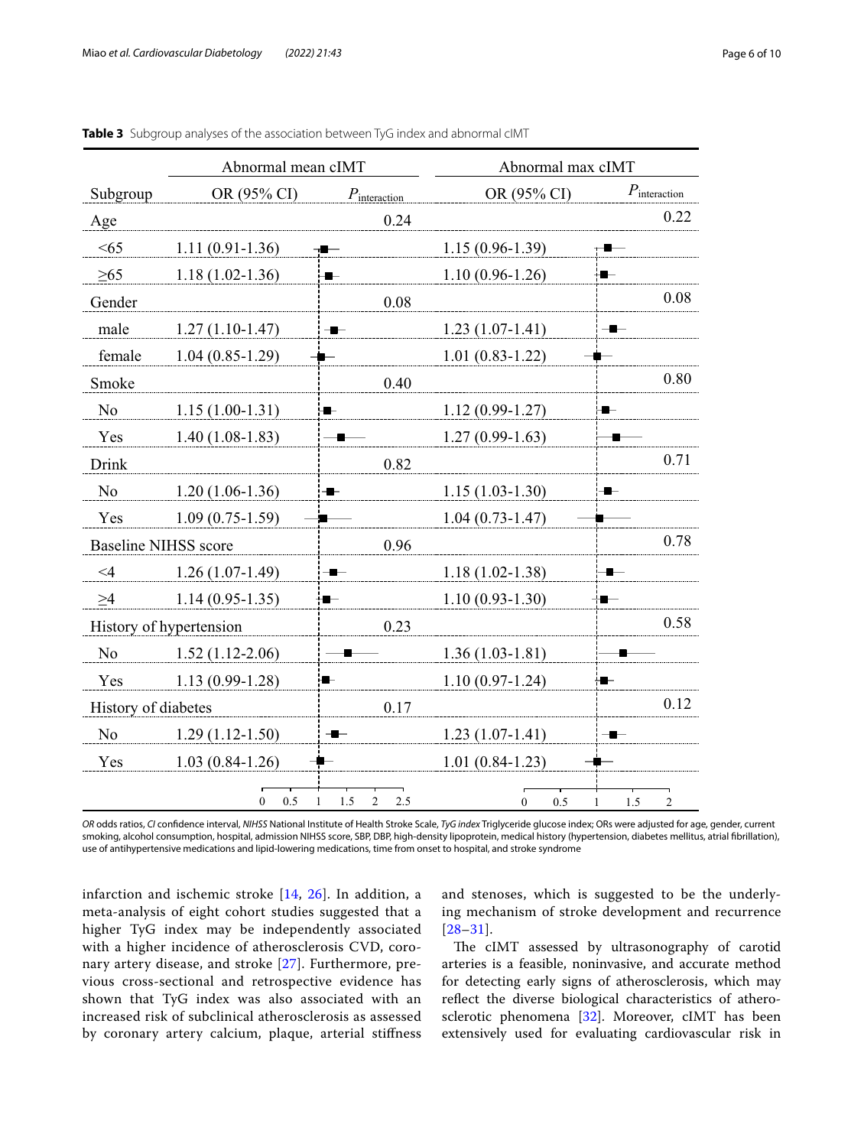|                             | Abnormal mean cIMT      |                            |      | Abnormal max cIMT   |     |     |                          |
|-----------------------------|-------------------------|----------------------------|------|---------------------|-----|-----|--------------------------|
| Subgroup                    | OR (95% CI)             | $P_{\text{interaction}}$   |      | OR (95% CI)         |     |     | $P_{\text{interaction}}$ |
| Age                         |                         |                            | 0.24 |                     |     |     | 0.22                     |
| <65                         | $1.11(0.91-1.36)$       | $\blacksquare$             |      | $1.15(0.96-1.39)$   |     |     |                          |
| >65                         | $1.18(1.02-1.36)$       | ■                          |      | $1.10(0.96-1.26)$   |     |     |                          |
| Gender                      |                         |                            | 0.08 |                     |     |     | 0.08                     |
| male                        | $1.27(1.10-1.47)$       | ╺                          |      | $1.23(1.07-1.41)$   | $-$ |     |                          |
| female                      | $1.04(0.85-1.29)$       |                            |      | $1.01(0.83-1.22)$   |     |     |                          |
| Smoke                       |                         |                            | 0.40 |                     |     |     | 0.80                     |
| N <sub>o</sub>              | $1.15(1.00-1.31)$       | ₩                          |      | $1.12(0.99-1.27)$   | ∙   |     |                          |
| Yes                         | $1.40(1.08-1.83)$       | - 1                        |      | $1.27(0.99-1.63)$   |     |     |                          |
| Drink                       |                         |                            | 0.82 |                     |     |     | 0.71                     |
| N <sub>o</sub>              | $1.20(1.06-1.36)$       | $\blacksquare$             |      | $1.15(1.03-1.30)$   | -   |     |                          |
| Yes                         | $1.09(0.75-1.59)$       |                            |      | $1.04(0.73-1.47)$   |     |     |                          |
| <b>Baseline NIHSS score</b> |                         |                            | 0.96 |                     |     |     | 0.78                     |
| $\leq 4$                    | $1.26(1.07-1.49)$       | ∙                          |      | $1.18(1.02 - 1.38)$ |     |     |                          |
| $\geq 4$                    | $1.14(0.95-1.35)$       | 8                          |      | $1.10(0.93-1.30)$   | ÷∎— |     |                          |
|                             | History of hypertension |                            | 0.23 |                     |     |     | 0.58                     |
| N <sub>o</sub>              | $1.52(1.12-2.06)$       |                            |      | $1.36(1.03-1.81)$   |     |     |                          |
| Yes                         | $1.13(0.99-1.28)$       | ∙                          |      | $1.10(0.97-1.24)$   | ▅   |     |                          |
| History of diabetes         |                         |                            | 0.17 |                     |     |     | 0.12                     |
| N <sub>o</sub>              | $1.29(1.12-1.50)$       | $-$                        |      | $1.23(1.07-1.41)$   | -   |     |                          |
| Yes                         | $1.03(0.84-1.26)$       |                            |      | $1.01(0.84-1.23)$   |     |     |                          |
|                             | 0.5<br>$\overline{0}$   | 1.5<br>$\overline{c}$<br>1 | 2.5  | $\mathbf{0}$<br>0.5 | 1   | 1.5 | $\overline{c}$           |

<span id="page-5-0"></span>

|  |  |  |  | Table 3 Subgroup analyses of the association between TyG index and abnormal cIMT |  |  |  |  |
|--|--|--|--|----------------------------------------------------------------------------------|--|--|--|--|
|--|--|--|--|----------------------------------------------------------------------------------|--|--|--|--|

*OR* odds ratios, *CI* confdence interval, *NIHSS* National Institute of Health Stroke Scale, *TyG index* Triglyceride glucose index; ORs were adjusted for age, gender, current smoking, alcohol consumption, hospital, admission NIHSS score, SBP, DBP, high-density lipoprotein, medical history (hypertension, diabetes mellitus, atrial fbrillation), use of antihypertensive medications and lipid-lowering medications, time from onset to hospital, and stroke syndrome

infarction and ischemic stroke [[14,](#page-8-21) [26](#page-8-22)]. In addition, a meta-analysis of eight cohort studies suggested that a higher TyG index may be independently associated with a higher incidence of atherosclerosis CVD, coronary artery disease, and stroke [[27\]](#page-8-23). Furthermore, previous cross-sectional and retrospective evidence has shown that TyG index was also associated with an increased risk of subclinical atherosclerosis as assessed by coronary artery calcium, plaque, arterial stifness and stenoses, which is suggested to be the underlying mechanism of stroke development and recurrence [[28](#page-8-24)[–31](#page-8-25)].

The cIMT assessed by ultrasonography of carotid arteries is a feasible, noninvasive, and accurate method for detecting early signs of atherosclerosis, which may refect the diverse biological characteristics of atherosclerotic phenomena [[32\]](#page-8-26). Moreover, cIMT has been extensively used for evaluating cardiovascular risk in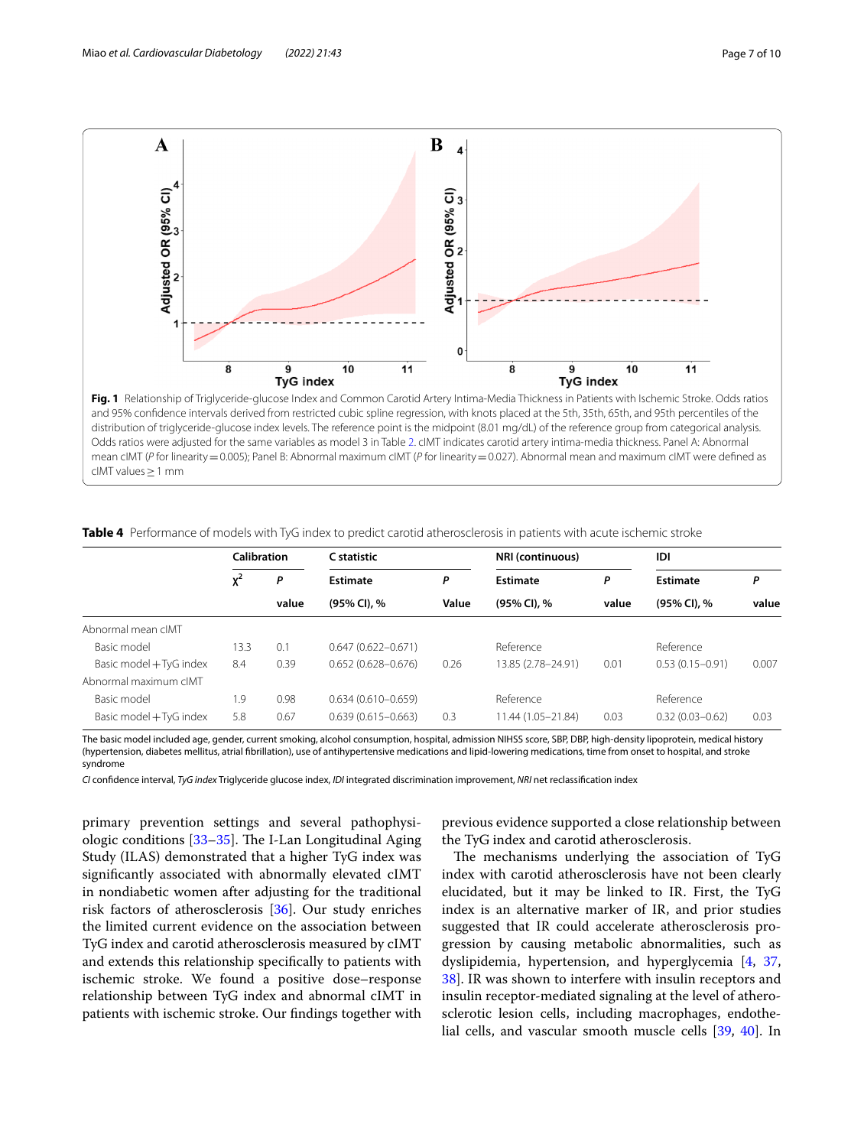

<span id="page-6-0"></span>Odds ratios were adjusted for the same variables as model 3 in Table [2.](#page-4-0) cIMT indicates carotid artery intima-media thickness. Panel A: Abnormal mean cIMT (*P* for linearity = 0.005); Panel B: Abnormal maximum cIMT (*P* for linearity = 0.027). Abnormal mean and maximum cIMT were defined as cIMT values≥1 mm

|                         | Calibration |       | C statistic            |       | NRI (continuous)     |       | IDI                 |       |
|-------------------------|-------------|-------|------------------------|-------|----------------------|-------|---------------------|-------|
|                         | $x^2$<br>P  |       | Estimate<br>Ρ          |       | <b>Estimate</b><br>P |       | <b>Estimate</b>     | Ρ     |
|                         |             | value | (95% CI), %            | Value | (95% CI), %          | value | (95% CI), %         | value |
| Abnormal mean cIMT      |             |       |                        |       |                      |       |                     |       |
| Basic model             | 13.3        | 0.1   | $0.647(0.622 - 0.671)$ |       | Reference            |       | Reference           |       |
| Basic model + TyG index | 8.4         | 0.39  | $0.652(0.628 - 0.676)$ | 0.26  | 13.85 (2.78-24.91)   | 0.01  | $0.53(0.15 - 0.91)$ | 0.007 |
| Abnormal maximum cIMT   |             |       |                        |       |                      |       |                     |       |
| Basic model             | 1.9         | 0.98  | $0.634(0.610 - 0.659)$ |       | Reference            |       | Reference           |       |
| Basic model + TyG index | 5.8         | 0.67  | $0.639(0.615 - 0.663)$ | 0.3   | 11.44 (1.05-21.84)   | 0.03  | $0.32(0.03 - 0.62)$ | 0.03  |

<span id="page-6-1"></span>**Table 4** Performance of models with TyG index to predict carotid atherosclerosis in patients with acute ischemic stroke

The basic model included age, gender, current smoking, alcohol consumption, hospital, admission NIHSS score, SBP, DBP, high-density lipoprotein, medical history (hypertension, diabetes mellitus, atrial fbrillation), use of antihypertensive medications and lipid-lowering medications, time from onset to hospital, and stroke syndrome

*CI* confdence interval, *TyG index* Triglyceride glucose index, *IDI* integrated discrimination improvement, *NRI* net reclassifcation index

primary prevention settings and several pathophysiologic conditions  $[33-35]$  $[33-35]$ . The I-Lan Longitudinal Aging Study (ILAS) demonstrated that a higher TyG index was signifcantly associated with abnormally elevated cIMT in nondiabetic women after adjusting for the traditional risk factors of atherosclerosis [[36\]](#page-8-29). Our study enriches the limited current evidence on the association between TyG index and carotid atherosclerosis measured by cIMT and extends this relationship specifcally to patients with ischemic stroke. We found a positive dose–response relationship between TyG index and abnormal cIMT in patients with ischemic stroke. Our fndings together with previous evidence supported a close relationship between the TyG index and carotid atherosclerosis.

The mechanisms underlying the association of TyG index with carotid atherosclerosis have not been clearly elucidated, but it may be linked to IR. First, the TyG index is an alternative marker of IR, and prior studies suggested that IR could accelerate atherosclerosis progression by causing metabolic abnormalities, such as dyslipidemia, hypertension, and hyperglycemia [\[4,](#page-8-3) [37](#page-8-30), [38\]](#page-9-0). IR was shown to interfere with insulin receptors and insulin receptor-mediated signaling at the level of atherosclerotic lesion cells, including macrophages, endothelial cells, and vascular smooth muscle cells [[39](#page-9-1), [40](#page-9-2)]. In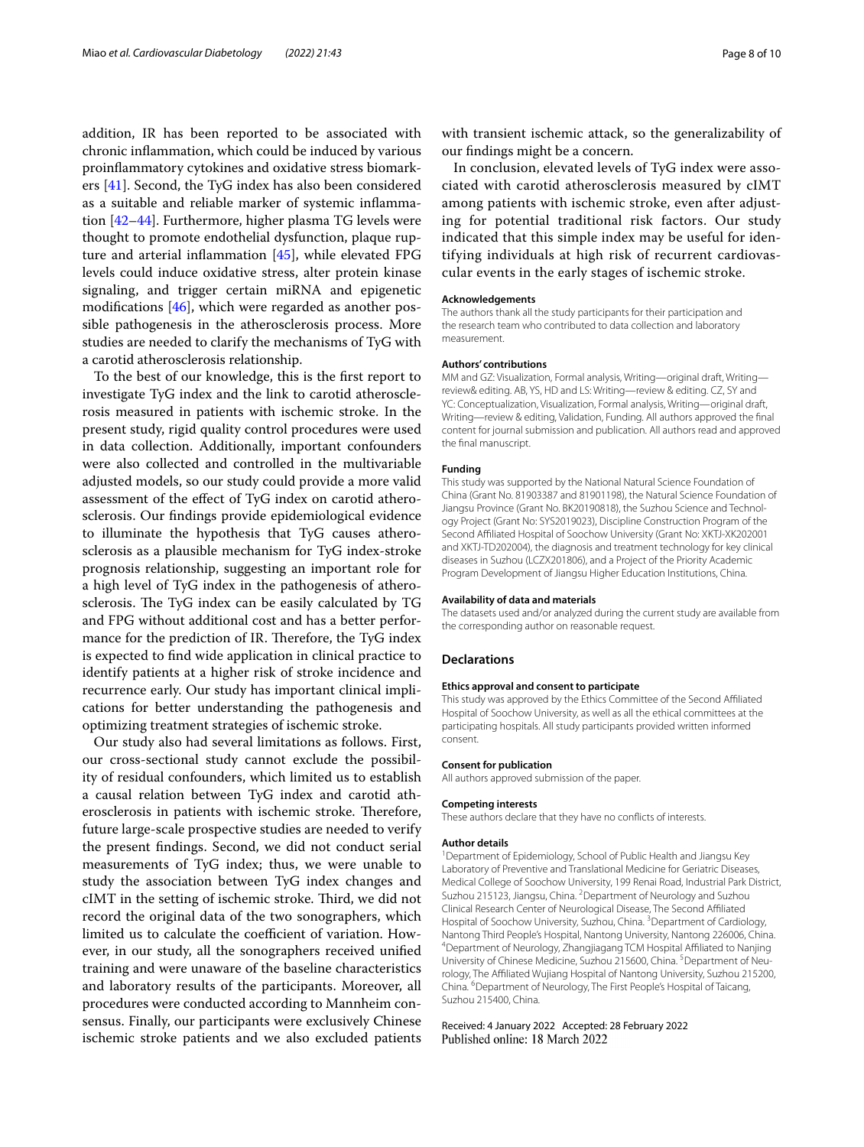addition, IR has been reported to be associated with chronic infammation, which could be induced by various proinfammatory cytokines and oxidative stress biomarkers [[41](#page-9-3)]. Second, the TyG index has also been considered as a suitable and reliable marker of systemic infammation [[42–](#page-9-4)[44](#page-9-5)]. Furthermore, higher plasma TG levels were thought to promote endothelial dysfunction, plaque rupture and arterial infammation [[45\]](#page-9-6), while elevated FPG levels could induce oxidative stress, alter protein kinase signaling, and trigger certain miRNA and epigenetic modifcations [[46\]](#page-9-7), which were regarded as another possible pathogenesis in the atherosclerosis process. More studies are needed to clarify the mechanisms of TyG with a carotid atherosclerosis relationship.

To the best of our knowledge, this is the frst report to investigate TyG index and the link to carotid atherosclerosis measured in patients with ischemic stroke. In the present study, rigid quality control procedures were used in data collection. Additionally, important confounders were also collected and controlled in the multivariable adjusted models, so our study could provide a more valid assessment of the efect of TyG index on carotid atherosclerosis. Our fndings provide epidemiological evidence to illuminate the hypothesis that TyG causes atherosclerosis as a plausible mechanism for TyG index-stroke prognosis relationship, suggesting an important role for a high level of TyG index in the pathogenesis of atherosclerosis. The TyG index can be easily calculated by TG and FPG without additional cost and has a better performance for the prediction of IR. Therefore, the TyG index is expected to fnd wide application in clinical practice to identify patients at a higher risk of stroke incidence and recurrence early. Our study has important clinical implications for better understanding the pathogenesis and optimizing treatment strategies of ischemic stroke.

Our study also had several limitations as follows. First, our cross-sectional study cannot exclude the possibility of residual confounders, which limited us to establish a causal relation between TyG index and carotid atherosclerosis in patients with ischemic stroke. Therefore, future large-scale prospective studies are needed to verify the present fndings. Second, we did not conduct serial measurements of TyG index; thus, we were unable to study the association between TyG index changes and cIMT in the setting of ischemic stroke. Third, we did not record the original data of the two sonographers, which limited us to calculate the coefficient of variation. However, in our study, all the sonographers received unifed training and were unaware of the baseline characteristics and laboratory results of the participants. Moreover, all procedures were conducted according to Mannheim consensus. Finally, our participants were exclusively Chinese ischemic stroke patients and we also excluded patients

with transient ischemic attack, so the generalizability of our fndings might be a concern.

In conclusion, elevated levels of TyG index were associated with carotid atherosclerosis measured by cIMT among patients with ischemic stroke, even after adjusting for potential traditional risk factors. Our study indicated that this simple index may be useful for identifying individuals at high risk of recurrent cardiovascular events in the early stages of ischemic stroke.

#### **Acknowledgements**

The authors thank all the study participants for their participation and the research team who contributed to data collection and laboratory measurement.

#### **Authors' contributions**

MM and GZ: Visualization, Formal analysis, Writing—original draft, Writing review& editing. AB, YS, HD and LS: Writing—review & editing. CZ, SY and YC: Conceptualization, Visualization, Formal analysis, Writing—original draft, Writing—review & editing, Validation, Funding. All authors approved the fnal content for journal submission and publication. All authors read and approved the fnal manuscript.

# **Funding**

This study was supported by the National Natural Science Foundation of China (Grant No. 81903387 and 81901198), the Natural Science Foundation of Jiangsu Province (Grant No. BK20190818), the Suzhou Science and Technology Project (Grant No: SYS2019023), Discipline Construction Program of the Second Afliated Hospital of Soochow University (Grant No: XKTJ-XK202001 and XKTJ-TD202004), the diagnosis and treatment technology for key clinical diseases in Suzhou (LCZX201806), and a Project of the Priority Academic Program Development of Jiangsu Higher Education Institutions, China.

#### **Availability of data and materials**

The datasets used and/or analyzed during the current study are available from the corresponding author on reasonable request.

#### **Declarations**

#### **Ethics approval and consent to participate**

This study was approved by the Ethics Committee of the Second Afliated Hospital of Soochow University, as well as all the ethical committees at the participating hospitals. All study participants provided written informed consent.

#### **Consent for publication**

All authors approved submission of the paper.

#### **Competing interests**

These authors declare that they have no conficts of interests.

## **Author details**

<sup>1</sup> Department of Epidemiology, School of Public Health and Jiangsu Key Laboratory of Preventive and Translational Medicine for Geriatric Diseases, Medical College of Soochow University, 199 Renai Road, Industrial Park District, Suzhou 215123, Jiangsu, China. <sup>2</sup> Department of Neurology and Suzhou Clinical Research Center of Neurological Disease, The Second Afliated Hospital of Soochow University, Suzhou, China. <sup>3</sup> Department of Cardiology, Nantong Third People's Hospital, Nantong University, Nantong 226006, China. 4 <sup>4</sup>Department of Neurology, Zhangjiagang TCM Hospital Affiliated to Nanjing University of Chinese Medicine, Suzhou 215600, China. <sup>5</sup> Department of Neurology, The Afliated Wujiang Hospital of Nantong University, Suzhou 215200, China. <sup>6</sup> Department of Neurology, The First People's Hospital of Taicang, Suzhou 215400, China.

# Received: 4 January 2022 Accepted: 28 February 2022Published online: 18 March 2022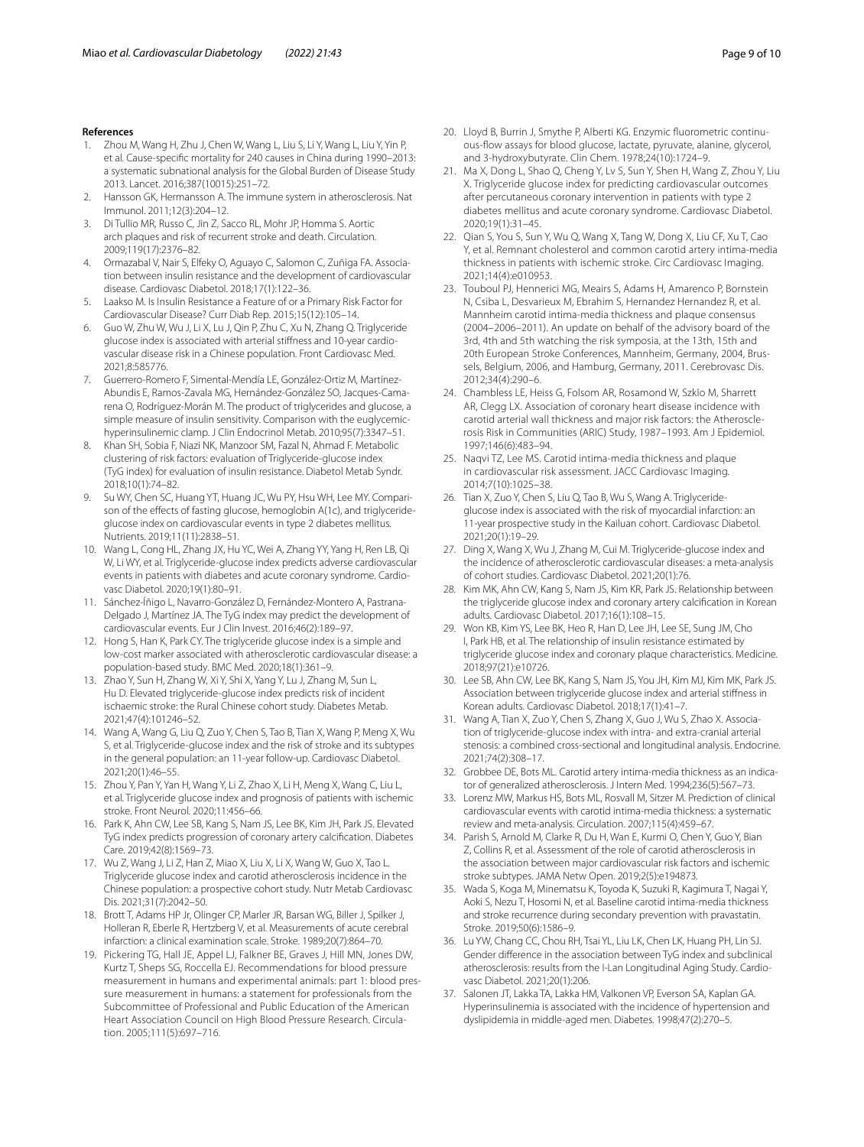# **References**

- <span id="page-8-0"></span>1. Zhou M, Wang H, Zhu J, Chen W, Wang L, Liu S, Li Y, Wang L, Liu Y, Yin P, et al. Cause-specifc mortality for 240 causes in China during 1990–2013: a systematic subnational analysis for the Global Burden of Disease Study 2013. Lancet. 2016;387(10015):251–72.
- <span id="page-8-1"></span>2. Hansson GK, Hermansson A. The immune system in atherosclerosis. Nat Immunol. 2011;12(3):204–12.
- <span id="page-8-2"></span>3. Di Tullio MR, Russo C, Jin Z, Sacco RL, Mohr JP, Homma S. Aortic arch plaques and risk of recurrent stroke and death. Circulation. 2009;119(17):2376–82.
- <span id="page-8-3"></span>4. Ormazabal V, Nair S, Elfeky O, Aguayo C, Salomon C, Zuñiga FA. Association between insulin resistance and the development of cardiovascular disease. Cardiovasc Diabetol. 2018;17(1):122–36.
- 5. Laakso M. Is Insulin Resistance a Feature of or a Primary Risk Factor for Cardiovascular Disease? Curr Diab Rep. 2015;15(12):105–14.
- <span id="page-8-4"></span>6. Guo W, Zhu W, Wu J, Li X, Lu J, Qin P, Zhu C, Xu N, Zhang Q. Triglyceride glucose index is associated with arterial stifness and 10-year cardiovascular disease risk in a Chinese population. Front Cardiovasc Med. 2021;8:585776.
- <span id="page-8-5"></span>7. Guerrero-Romero F, Simental-Mendía LE, González-Ortiz M, Martínez-Abundis E, Ramos-Zavala MG, Hernández-González SO, Jacques-Camarena O, Rodríguez-Morán M. The product of triglycerides and glucose, a simple measure of insulin sensitivity. Comparison with the euglycemichyperinsulinemic clamp. J Clin Endocrinol Metab. 2010;95(7):3347–51.
- <span id="page-8-6"></span>8. Khan SH, Sobia F, Niazi NK, Manzoor SM, Fazal N, Ahmad F. Metabolic clustering of risk factors: evaluation of Triglyceride-glucose index (TyG index) for evaluation of insulin resistance. Diabetol Metab Syndr. 2018;10(1):74–82.
- <span id="page-8-7"></span>9. Su WY, Chen SC, Huang YT, Huang JC, Wu PY, Hsu WH, Lee MY. Comparison of the effects of fasting glucose, hemoglobin A(1c), and triglycerideglucose index on cardiovascular events in type 2 diabetes mellitus. Nutrients. 2019;11(11):2838–51.
- 10. Wang L, Cong HL, Zhang JX, Hu YC, Wei A, Zhang YY, Yang H, Ren LB, Qi W, Li WY, et al. Triglyceride-glucose index predicts adverse cardiovascular events in patients with diabetes and acute coronary syndrome. Cardiovasc Diabetol. 2020;19(1):80–91.
- 11. Sánchez-Íñigo L, Navarro-González D, Fernández-Montero A, Pastrana-Delgado J, Martínez JA. The TyG index may predict the development of cardiovascular events. Eur J Clin Invest. 2016;46(2):189–97.
- <span id="page-8-8"></span>12. Hong S, Han K, Park CY. The triglyceride glucose index is a simple and low-cost marker associated with atherosclerotic cardiovascular disease: a population-based study. BMC Med. 2020;18(1):361–9.
- <span id="page-8-9"></span>13. Zhao Y, Sun H, Zhang W, Xi Y, Shi X, Yang Y, Lu J, Zhang M, Sun L, Hu D. Elevated triglyceride-glucose index predicts risk of incident ischaemic stroke: the Rural Chinese cohort study. Diabetes Metab. 2021;47(4):101246–52.
- <span id="page-8-21"></span>14. Wang A, Wang G, Liu Q, Zuo Y, Chen S, Tao B, Tian X, Wang P, Meng X, Wu S, et al. Triglyceride-glucose index and the risk of stroke and its subtypes in the general population: an 11-year follow-up. Cardiovasc Diabetol. 2021;20(1):46–55.
- <span id="page-8-10"></span>15. Zhou Y, Pan Y, Yan H, Wang Y, Li Z, Zhao X, Li H, Meng X, Wang C, Liu L, et al. Triglyceride glucose index and prognosis of patients with ischemic stroke. Front Neurol. 2020;11:456–66.
- <span id="page-8-11"></span>16. Park K, Ahn CW, Lee SB, Kang S, Nam JS, Lee BK, Kim JH, Park JS. Elevated TyG index predicts progression of coronary artery calcifcation. Diabetes Care. 2019;42(8):1569–73.
- <span id="page-8-12"></span>17. Wu Z, Wang J, Li Z, Han Z, Miao X, Liu X, Li X, Wang W, Guo X, Tao L. Triglyceride glucose index and carotid atherosclerosis incidence in the Chinese population: a prospective cohort study. Nutr Metab Cardiovasc Dis. 2021;31(7):2042–50.
- <span id="page-8-13"></span>18. Brott T, Adams HP Jr, Olinger CP, Marler JR, Barsan WG, Biller J, Spilker J, Holleran R, Eberle R, Hertzberg V, et al. Measurements of acute cerebral infarction: a clinical examination scale. Stroke. 1989;20(7):864–70.
- <span id="page-8-14"></span>19. Pickering TG, Hall JE, Appel LJ, Falkner BE, Graves J, Hill MN, Jones DW, Kurtz T, Sheps SG, Roccella EJ. Recommendations for blood pressure measurement in humans and experimental animals: part 1: blood pressure measurement in humans: a statement for professionals from the Subcommittee of Professional and Public Education of the American Heart Association Council on High Blood Pressure Research. Circulation. 2005;111(5):697–716.
- <span id="page-8-15"></span>20. Lloyd B, Burrin J, Smythe P, Alberti KG. Enzymic fuorometric continuous-fow assays for blood glucose, lactate, pyruvate, alanine, glycerol, and 3-hydroxybutyrate. Clin Chem. 1978;24(10):1724–9.
- <span id="page-8-16"></span>21. Ma X, Dong L, Shao Q, Cheng Y, Lv S, Sun Y, Shen H, Wang Z, Zhou Y, Liu X. Triglyceride glucose index for predicting cardiovascular outcomes after percutaneous coronary intervention in patients with type 2 diabetes mellitus and acute coronary syndrome. Cardiovasc Diabetol. 2020;19(1):31–45.
- <span id="page-8-17"></span>22. Qian S, You S, Sun Y, Wu Q, Wang X, Tang W, Dong X, Liu CF, Xu T, Cao Y, et al. Remnant cholesterol and common carotid artery intima-media thickness in patients with ischemic stroke. Circ Cardiovasc Imaging. 2021;14(4):e010953.
- <span id="page-8-18"></span>23. Touboul PJ, Hennerici MG, Meairs S, Adams H, Amarenco P, Bornstein N, Csiba L, Desvarieux M, Ebrahim S, Hernandez Hernandez R, et al. Mannheim carotid intima-media thickness and plaque consensus (2004–2006–2011). An update on behalf of the advisory board of the 3rd, 4th and 5th watching the risk symposia, at the 13th, 15th and 20th European Stroke Conferences, Mannheim, Germany, 2004, Brussels, Belgium, 2006, and Hamburg, Germany, 2011. Cerebrovasc Dis. 2012;34(4):290–6.
- <span id="page-8-19"></span>24. Chambless LE, Heiss G, Folsom AR, Rosamond W, Szklo M, Sharrett AR, Clegg LX. Association of coronary heart disease incidence with carotid arterial wall thickness and major risk factors: the Atherosclerosis Risk in Communities (ARIC) Study, 1987–1993. Am J Epidemiol. 1997;146(6):483–94.
- <span id="page-8-20"></span>25. Naqvi TZ, Lee MS. Carotid intima-media thickness and plaque in cardiovascular risk assessment. JACC Cardiovasc Imaging. 2014;7(10):1025–38.
- <span id="page-8-22"></span>26. Tian X, Zuo Y, Chen S, Liu Q, Tao B, Wu S, Wang A. Triglycerideglucose index is associated with the risk of myocardial infarction: an 11-year prospective study in the Kailuan cohort. Cardiovasc Diabetol. 2021;20(1):19–29.
- <span id="page-8-23"></span>27. Ding X, Wang X, Wu J, Zhang M, Cui M. Triglyceride-glucose index and the incidence of atherosclerotic cardiovascular diseases: a meta-analysis of cohort studies. Cardiovasc Diabetol. 2021;20(1):76.
- <span id="page-8-24"></span>28. Kim MK, Ahn CW, Kang S, Nam JS, Kim KR, Park JS. Relationship between the triglyceride glucose index and coronary artery calcifcation in Korean adults. Cardiovasc Diabetol. 2017;16(1):108–15.
- 29. Won KB, Kim YS, Lee BK, Heo R, Han D, Lee JH, Lee SE, Sung JM, Cho I, Park HB, et al. The relationship of insulin resistance estimated by triglyceride glucose index and coronary plaque characteristics. Medicine. 2018;97(21):e10726.
- 30. Lee SB, Ahn CW, Lee BK, Kang S, Nam JS, You JH, Kim MJ, Kim MK, Park JS. Association between triglyceride glucose index and arterial stifness in Korean adults. Cardiovasc Diabetol. 2018;17(1):41–7.
- <span id="page-8-25"></span>31. Wang A, Tian X, Zuo Y, Chen S, Zhang X, Guo J, Wu S, Zhao X. Association of triglyceride-glucose index with intra- and extra-cranial arterial stenosis: a combined cross-sectional and longitudinal analysis. Endocrine. 2021;74(2):308–17.
- <span id="page-8-26"></span>32. Grobbee DE, Bots ML. Carotid artery intima-media thickness as an indicator of generalized atherosclerosis. J Intern Med. 1994;236(5):567–73.
- <span id="page-8-27"></span>33. Lorenz MW, Markus HS, Bots ML, Rosvall M, Sitzer M. Prediction of clinical cardiovascular events with carotid intima-media thickness: a systematic review and meta-analysis. Circulation. 2007;115(4):459–67.
- 34. Parish S, Arnold M, Clarke R, Du H, Wan E, Kurmi O, Chen Y, Guo Y, Bian Z, Collins R, et al. Assessment of the role of carotid atherosclerosis in the association between major cardiovascular risk factors and ischemic stroke subtypes. JAMA Netw Open. 2019;2(5):e194873.
- <span id="page-8-28"></span>35. Wada S, Koga M, Minematsu K, Toyoda K, Suzuki R, Kagimura T, Nagai Y, Aoki S, Nezu T, Hosomi N, et al. Baseline carotid intima-media thickness and stroke recurrence during secondary prevention with pravastatin. Stroke. 2019;50(6):1586–9.
- <span id="page-8-29"></span>36. Lu YW, Chang CC, Chou RH, Tsai YL, Liu LK, Chen LK, Huang PH, Lin SJ. Gender diference in the association between TyG index and subclinical atherosclerosis: results from the I-Lan Longitudinal Aging Study. Cardiovasc Diabetol. 2021;20(1):206.
- <span id="page-8-30"></span>37. Salonen JT, Lakka TA, Lakka HM, Valkonen VP, Everson SA, Kaplan GA. Hyperinsulinemia is associated with the incidence of hypertension and dyslipidemia in middle-aged men. Diabetes. 1998;47(2):270–5.